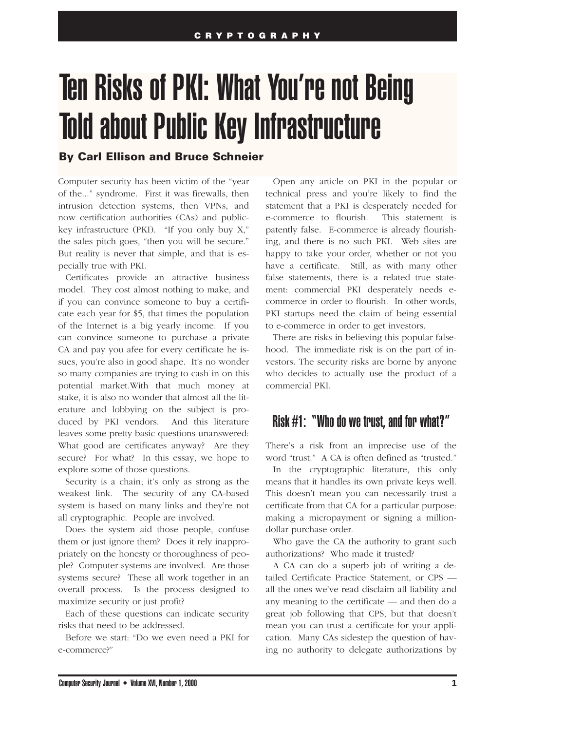# Ten Risks of PKI: What You're not Being Told about Public Key Infrastructure

#### **By Carl Ellison and Bruce Schneier**

Computer security has been victim of the "year of the..." syndrome. First it was firewalls, then intrusion detection systems, then VPNs, and now certification authorities (CAs) and publickey infrastructure (PKI). "If you only buy X," the sales pitch goes, "then you will be secure." But reality is never that simple, and that is especially true with PKI.

Certificates provide an attractive business model. They cost almost nothing to make, and if you can convince someone to buy a certificate each year for \$5, that times the population of the Internet is a big yearly income. If you can convince someone to purchase a private CA and pay you afee for every certificate he issues, you're also in good shape. It's no wonder so many companies are trying to cash in on this potential market.With that much money at stake, it is also no wonder that almost all the literature and lobbying on the subject is produced by PKI vendors. And this literature leaves some pretty basic questions unanswered: What good are certificates anyway? Are they secure? For what? In this essay, we hope to explore some of those questions.

Security is a chain; it's only as strong as the weakest link. The security of any CA-based system is based on many links and they're not all cryptographic. People are involved.

Does the system aid those people, confuse them or just ignore them? Does it rely inappropriately on the honesty or thoroughness of people? Computer systems are involved. Are those systems secure? These all work together in an overall process. Is the process designed to maximize security or just profit?

Each of these questions can indicate security risks that need to be addressed.

Before we start: "Do we even need a PKI for e-commerce?"

Open any article on PKI in the popular or technical press and you're likely to find the statement that a PKI is desperately needed for e-commerce to flourish. This statement is patently false. E-commerce is already flourishing, and there is no such PKI. Web sites are happy to take your order, whether or not you have a certificate. Still, as with many other false statements, there is a related true statement: commercial PKI desperately needs ecommerce in order to flourish. In other words, PKI startups need the claim of being essential to e-commerce in order to get investors.

There are risks in believing this popular falsehood. The immediate risk is on the part of investors. The security risks are borne by anyone who decides to actually use the product of a commercial PKI.

## Risk #1: "Who do we trust, and for what?"

There's a risk from an imprecise use of the word "trust." A CA is often defined as "trusted."

In the cryptographic literature, this only means that it handles its own private keys well. This doesn't mean you can necessarily trust a certificate from that CA for a particular purpose: making a micropayment or signing a milliondollar purchase order.

Who gave the CA the authority to grant such authorizations? Who made it trusted?

A CA can do a superb job of writing a detailed Certificate Practice Statement, or CPS all the ones we've read disclaim all liability and any meaning to the certificate — and then do a great job following that CPS, but that doesn't mean you can trust a certificate for your application. Many CAs sidestep the question of having no authority to delegate authorizations by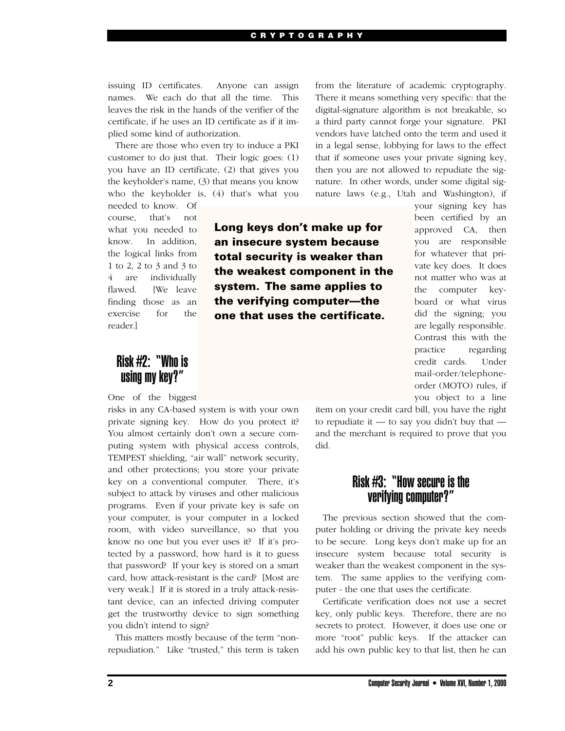#### **CRYPTOGRAPHY**

issuing ID certificates. Anyone can assign names. We each do that all the time. This leaves the risk in the hands of the verifier of the certificate, if he uses an ID certificate as if it implied some kind of authorization.

There are those who even try to induce a PKI customer to do just that. Their logic goes: (1) you have an ID certificate, (2) that gives you the keyholder's name, (3) that means you know who the keyholder is, (4) that's what you needed to know. Of

course, that's not what you needed to know. In addition, the logical links from 1 to 2, 2 to 3 and 3 to 4 are individually flawed. [We leave finding those as an exercise for the reader.]

## Risk #2: "Who is using my key?"

One of the biggest

risks in any CA-based system is with your own private signing key. How do you protect it? You almost certainly don't own a secure computing system with physical access controls, TEMPEST shielding, "air wall" network security, and other protections; you store your private key on a conventional computer. There, it's subject to attack by viruses and other malicious programs. Even if your private key is safe on your computer, is your computer in a locked room, with video surveillance, so that you know no one but you ever uses it? If it's protected by a password, how hard is it to guess that password? If your key is stored on a smart card, how attack-resistant is the card? [Most are very weak.] If it is stored in a truly attack-resistant device, can an infected driving computer get the trustworthy device to sign something you didn't intend to sign?

This matters mostly because of the term "nonrepudiation." Like "trusted," this term is taken from the literature of academic cryptography. There it means something very specific: that the digital-signature algorithm is not breakable, so a third party cannot forge your signature. PKI vendors have latched onto the term and used it in a legal sense, lobbying for laws to the effect that if someone uses your private signing key, then you are not allowed to repudiate the signature. In other words, under some digital signature laws (e.g., Utah and Washington), if

**Long keys don't make up for an insecure system because total security is weaker than the weakest component in the system. The same applies to the verifying computer––the one that uses the certificate.**

your signing key has been certified by an approved CA, then you are responsible for whatever that private key does. It does not matter who was at the computer keyboard or what virus did the signing; you are legally responsible. Contrast this with the practice regarding credit cards. Under mail-order/telephoneorder (MOTO) rules, if you object to a line

item on your credit card bill, you have the right to repudiate it — to say you didn't buy that and the merchant is required to prove that you did.

### Risk #3: "How secure is the verifying computer?"

The previous section showed that the computer holding or driving the private key needs to be secure. Long keys don't make up for an insecure system because total security is weaker than the weakest component in the system. The same applies to the verifying computer - the one that uses the certificate.

Certificate verification does not use a secret key, only public keys. Therefore, there are no secrets to protect. However, it does use one or more "root" public keys. If the attacker can add his own public key to that list, then he can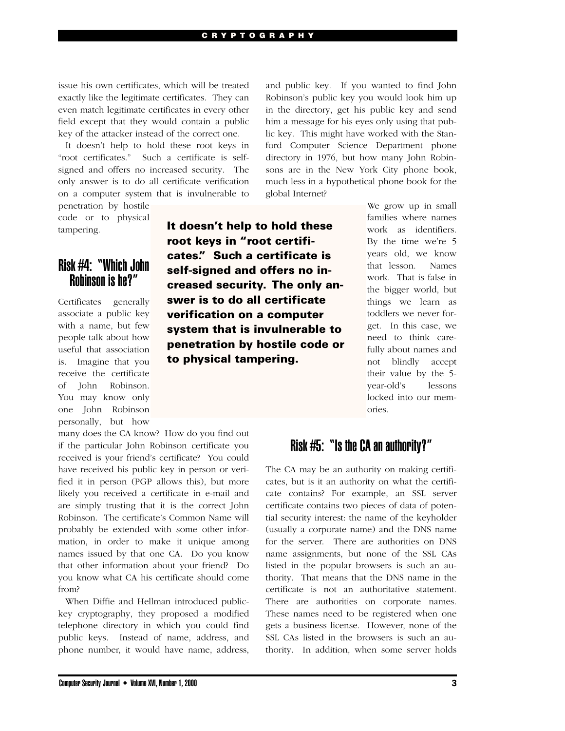issue his own certificates, which will be treated exactly like the legitimate certificates. They can even match legitimate certificates in every other field except that they would contain a public key of the attacker instead of the correct one.

It doesn't help to hold these root keys in "root certificates." Such a certificate is selfsigned and offers no increased security. The only answer is to do all certificate verification on a computer system that is invulnerable to

penetration by hostile code or to physical tampering.

#### Risk #4: "Which John Robinson is he?"

Certificates generally associate a public key with a name, but few people talk about how useful that association is. Imagine that you receive the certificate of John Robinson. You may know only one John Robinson personally, but how

**It doesn't help to hold these root keys in "root certificates." Such a certificate is self-signed and offers no increased security. The only answer is to do all certificate verification on a computer system that is invulnerable to penetration by hostile code or to physical tampering.**

many does the CA know? How do you find out if the particular John Robinson certificate you received is your friend's certificate? You could have received his public key in person or verified it in person (PGP allows this), but more likely you received a certificate in e-mail and are simply trusting that it is the correct John Robinson. The certificate's Common Name will probably be extended with some other information, in order to make it unique among names issued by that one CA. Do you know that other information about your friend? Do you know what CA his certificate should come from?

When Diffie and Hellman introduced publickey cryptography, they proposed a modified telephone directory in which you could find public keys. Instead of name, address, and phone number, it would have name, address, and public key. If you wanted to find John Robinson's public key you would look him up in the directory, get his public key and send him a message for his eyes only using that public key. This might have worked with the Stanford Computer Science Department phone directory in 1976, but how many John Robinsons are in the New York City phone book, much less in a hypothetical phone book for the global Internet?

> We grow up in small families where names work as identifiers. By the time we're 5 years old, we know that lesson. Names work. That is false in the bigger world, but things we learn as toddlers we never forget. In this case, we need to think carefully about names and not blindly accept their value by the 5 year-old's lessons locked into our memories.

## Risk #5: "Is the CA an authority?"

The CA may be an authority on making certificates, but is it an authority on what the certificate contains? For example, an SSL server certificate contains two pieces of data of potential security interest: the name of the keyholder (usually a corporate name) and the DNS name for the server. There are authorities on DNS name assignments, but none of the SSL CAs listed in the popular browsers is such an authority. That means that the DNS name in the certificate is not an authoritative statement. There are authorities on corporate names. These names need to be registered when one gets a business license. However, none of the SSL CAs listed in the browsers is such an authority. In addition, when some server holds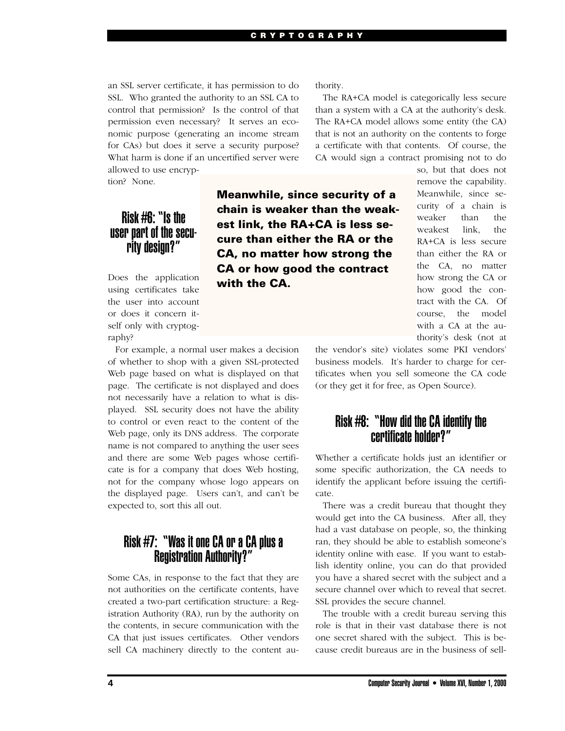an SSL server certificate, it has permission to do SSL. Who granted the authority to an SSL CA to control that permission? Is the control of that permission even necessary? It serves an economic purpose (generating an income stream for CAs) but does it serve a security purpose? What harm is done if an uncertified server were allowed to use encryp-

tion? None.

## Risk #6: "Is the user part of the security design?"

Does the application using certificates take the user into account or does it concern itself only with cryptography?

For example, a normal user makes a decision of whether to shop with a given SSL-protected Web page based on what is displayed on that page. The certificate is not displayed and does not necessarily have a relation to what is displayed. SSL security does not have the ability to control or even react to the content of the Web page, only its DNS address. The corporate name is not compared to anything the user sees and there are some Web pages whose certificate is for a company that does Web hosting, not for the company whose logo appears on the displayed page. Users can't, and can't be expected to, sort this all out.

#### Risk #7: "Was it one CA or a CA plus a Registration Authority?"

Some CAs, in response to the fact that they are not authorities on the certificate contents, have created a two-part certification structure: a Registration Authority (RA), run by the authority on the contents, in secure communication with the CA that just issues certificates. Other vendors sell CA machinery directly to the content authority.

The RA+CA model is categorically less secure than a system with a CA at the authority's desk. The RA+CA model allows some entity (the CA) that is not an authority on the contents to forge a certificate with that contents. Of course, the CA would sign a contract promising not to do

**Meanwhile, since security of a chain is weaker than the weakest link, the RA+CA is less secure than either the RA or the CA, no matter how strong the CA or how good the contract with the CA.** 

so, but that does not remove the capability. Meanwhile, since security of a chain is weaker than the weakest link, the RA+CA is less secure than either the RA or the CA, no matter how strong the CA or how good the contract with the CA. Of course, the model with a CA at the authority's desk (not at

the vendor's site) violates some PKI vendors' business models. It's harder to charge for certificates when you sell someone the CA code (or they get it for free, as Open Source).

## Risk #8: "How did the CA identify the certificate holder?"

Whether a certificate holds just an identifier or some specific authorization, the CA needs to identify the applicant before issuing the certificate.

There was a credit bureau that thought they would get into the CA business. After all, they had a vast database on people, so, the thinking ran, they should be able to establish someone's identity online with ease. If you want to establish identity online, you can do that provided you have a shared secret with the subject and a secure channel over which to reveal that secret. SSL provides the secure channel.

The trouble with a credit bureau serving this role is that in their vast database there is not one secret shared with the subject. This is because credit bureaus are in the business of sell-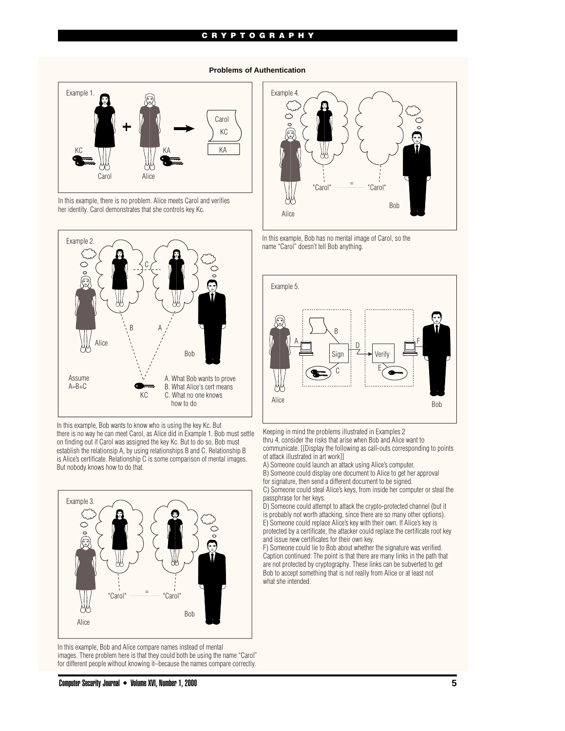#### **CRYPTOGRAPHY**

#### **Problems of Authentication**



In this example, there is no problem. Alice meets Carol and verifies her identity. Carol demonstrates that she controls key Kc.



In this example, Bob wants to know who is using the key Kc. But there is no way he can meet Carol, as Alice did in Example 1. Bob must settle on finding out if Carol was assigned the key Kc. But to do so, Bob must establish the relationsip A, by using relationships B and C. Relationship B is Alice's certificate. Relationship C is some comparison of mental images. But nobody knows how to do that.



In this example, Bob and Alice compare names instead of mental images. There problem here is that they could both be using the name "Carol" for different people without knowing it–because the names compare correctly.



In this example, Bob has no mental image of Carol, so the name "Carol" doesn't tell Bob anything.



Keeping in mind the problems illustrated in Examples 2

thru 4, consider the risks that arise when Bob and Alice want to communicate. [[Display the following as call-outs corresponding to points of attack illustrated in art work]]

A) Someone could launch an attack using Alice's computer.

B) Someone could display one document to Alice to get her approval

for signature, then send a different document to be signed. C) Someone could steal Alice's keys, from inside her computer or steal the

passphrase for her keys. D) Someone could attempt to attack the crypto-protected channel (but it

is probably not worth attacking, since there are so many other options). E) Someone could replace Alice's key with their own. If Alice's key is protected by a certificate, the attacker could replace the certificate root key and issue new certificates for their own key.

F) Someone could lie to Bob about whether the signature was verified. Caption continued: The point is that there are many links in the path that are not protected by cryptography. These links can be subverted to get Bob to accept something that is not really from Alice or at least not what she intended.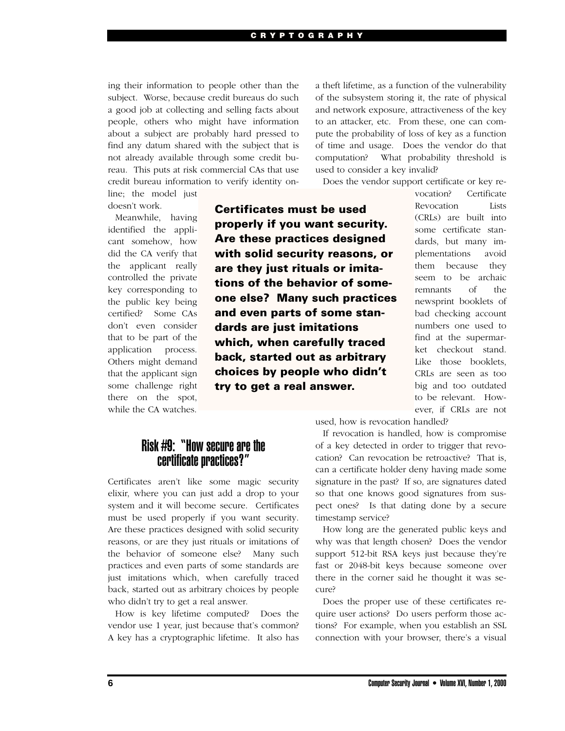#### **CRYPTOGRAPHY**

ing their information to people other than the subject. Worse, because credit bureaus do such a good job at collecting and selling facts about people, others who might have information about a subject are probably hard pressed to find any datum shared with the subject that is not already available through some credit bureau. This puts at risk commercial CAs that use credit bureau information to verify identity online; the model just

doesn't work.

Meanwhile, having identified the applicant somehow, how did the CA verify that the applicant really controlled the private key corresponding to the public key being certified? Some CAs don't even consider that to be part of the application process. Others might demand that the applicant sign some challenge right there on the spot, while the CA watches.

**Certificates must be used properly if you want security. Are these practices designed with solid security reasons, or are they just rituals or imitations of the behavior of someone else? Many such practices and even parts of some standards are just imitations which, when carefully traced back, started out as arbitrary choices by people who didn't try to get a real answer.**

#### Risk #9: "How secure are the certificate practices?"

Certificates aren't like some magic security elixir, where you can just add a drop to your system and it will become secure. Certificates must be used properly if you want security. Are these practices designed with solid security reasons, or are they just rituals or imitations of the behavior of someone else? Many such practices and even parts of some standards are just imitations which, when carefully traced back, started out as arbitrary choices by people who didn't try to get a real answer.

How is key lifetime computed? Does the vendor use 1 year, just because that's common? A key has a cryptographic lifetime. It also has

a theft lifetime, as a function of the vulnerability of the subsystem storing it, the rate of physical and network exposure, attractiveness of the key to an attacker, etc. From these, one can compute the probability of loss of key as a function of time and usage. Does the vendor do that computation? What probability threshold is used to consider a key invalid?

Does the vendor support certificate or key re-

vocation? Certificate Revocation Lists (CRLs) are built into some certificate standards, but many implementations avoid them because they seem to be archaic remnants of the newsprint booklets of bad checking account numbers one used to find at the supermarket checkout stand. Like those booklets, CRLs are seen as too big and too outdated to be relevant. However, if CRLs are not

used, how is revocation handled?

If revocation is handled, how is compromise of a key detected in order to trigger that revocation? Can revocation be retroactive? That is, can a certificate holder deny having made some signature in the past? If so, are signatures dated so that one knows good signatures from suspect ones? Is that dating done by a secure timestamp service?

How long are the generated public keys and why was that length chosen? Does the vendor support 512-bit RSA keys just because they're fast or 2048-bit keys because someone over there in the corner said he thought it was secure?

Does the proper use of these certificates require user actions? Do users perform those actions? For example, when you establish an SSL connection with your browser, there's a visual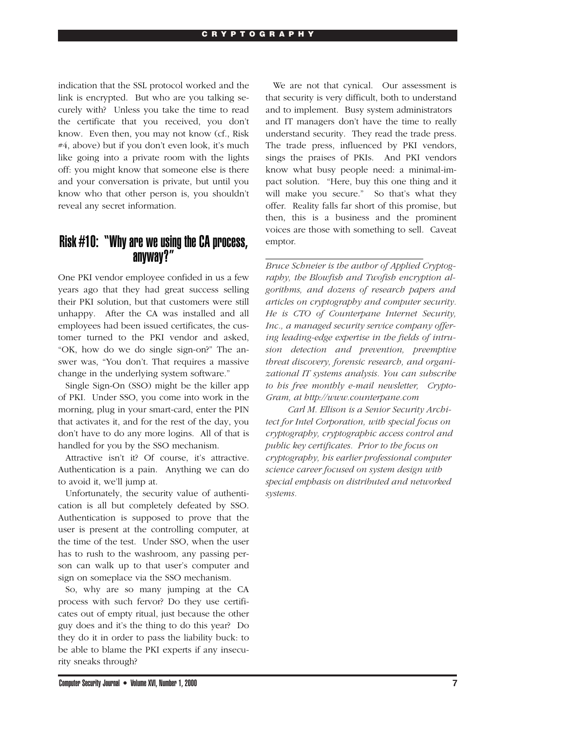indication that the SSL protocol worked and the link is encrypted. But who are you talking securely with? Unless you take the time to read the certificate that you received, you don't know. Even then, you may not know (cf., Risk #4, above) but if you don't even look, it's much like going into a private room with the lights off: you might know that someone else is there and your conversation is private, but until you know who that other person is, you shouldn't reveal any secret information.

### Risk #10: "Why are we using the CA process, anyway?"

One PKI vendor employee confided in us a few years ago that they had great success selling their PKI solution, but that customers were still unhappy. After the CA was installed and all employees had been issued certificates, the customer turned to the PKI vendor and asked, "OK, how do we do single sign-on?" The answer was, "You don't. That requires a massive change in the underlying system software."

Single Sign-On (SSO) might be the killer app of PKI. Under SSO, you come into work in the morning, plug in your smart-card, enter the PIN that activates it, and for the rest of the day, you don't have to do any more logins. All of that is handled for you by the SSO mechanism.

Attractive isn't it? Of course, it's attractive. Authentication is a pain. Anything we can do to avoid it, we'll jump at.

Unfortunately, the security value of authentication is all but completely defeated by SSO. Authentication is supposed to prove that the user is present at the controlling computer, at the time of the test. Under SSO, when the user has to rush to the washroom, any passing person can walk up to that user's computer and sign on someplace via the SSO mechanism.

So, why are so many jumping at the CA process with such fervor? Do they use certificates out of empty ritual, just because the other guy does and it's the thing to do this year? Do they do it in order to pass the liability buck: to be able to blame the PKI experts if any insecurity sneaks through?

We are not that cynical. Our assessment is that security is very difficult, both to understand and to implement. Busy system administrators and IT managers don't have the time to really understand security. They read the trade press. The trade press, influenced by PKI vendors, sings the praises of PKIs. And PKI vendors know what busy people need: a minimal-impact solution. "Here, buy this one thing and it will make you secure." So that's what they offer. Reality falls far short of this promise, but then, this is a business and the prominent voices are those with something to sell. Caveat emptor.

*Bruce Schneier is the author of Applied Cryptography, the Blowfish and Twofish encryption algorithms, and dozens of research papers and articles on cryptography and computer security. He is CTO of Counterpane Internet Security, Inc., a managed security service company offering leading-edge expertise in the fields of intrusion detection and prevention, preemptive threat discovery, forensic research, and organizational IT systems analysis. You can subscribe to his free monthly e-mail newsletter, Crypto-Gram, at http://www.counterpane.com*

*Carl M. Ellison is a Senior Security Architect for Intel Corporation, with special focus on cryptography, cryptographic access control and public key certificates. Prior to the focus on cryptography, his earlier professional computer science career focused on system design with special emphasis on distributed and networked systems.*